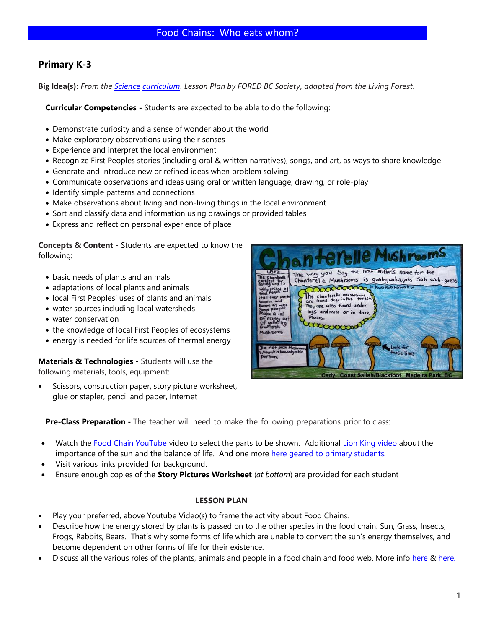# **Primary K-3**

**Big Idea(s):** *From the [Science](https://curriculum.gov.bc.ca/curriculum/science/3/core) [curriculum.](http://https/curriculum.gov.bc.ca) Lesson Plan by FORED BC Society, adapted from the Living Forest.*

**Curricular Competencies -** Students are expected to be able to do the following:

- Demonstrate curiosity and a sense of wonder about the world
- Make exploratory observations using their senses
- Experience and interpret the local environment
- Recognize First Peoples stories (including oral & written narratives), songs, and art, as ways to share knowledge
- Generate and introduce new or refined ideas when problem solving
- Communicate observations and ideas using oral or written language, drawing, or role-play
- Identify simple patterns and connections
- Make observations about living and non-living things in the local environment
- Sort and classify data and information using drawings or provided tables
- Express and reflect on personal experience of place

**Concepts & Content -** Students are expected to know the following:

- basic needs of plants and animals
- adaptations of local plants and animals
- local First Peoples' uses of plants and animals
- water sources including local watersheds
- water conservation
- the knowledge of local First Peoples of ecosystems
- energy is needed for life sources of thermal energy

**Materials & Technologies -** Students will use the following materials, tools, equipment:

Scissors, construction paper, story picture worksheet, glue or stapler, pencil and paper, Internet



**Pre-Class Preparation -** The teacher will need to make the following preparations prior to class:

- Watch the [Food Chain YouTube](https://www.youtube.com/watch?v=CZhE2p46vJk) video to select the parts to be shown. Additiona[l Lion King video](https://www.youtube.com/watch?v=bW7PlTaawfQ) about the importance of the sun and the balance of life. And one more [here geared to primary students.](https://www.youtube.com/watch?v=pasB5FxhVUk)
- Visit various links provided for background.
- Ensure enough copies of the **Story Pictures Worksheet** (*at bottom*) are provided for each student

#### **LESSON PLAN**

- Play your preferred, above Youtube Video(s) to frame the activity about Food Chains.
- Describe how the energy stored by plants is passed on to the other species in the food chain: Sun, Grass, Insects, Frogs, Rabbits, Bears. That's why some forms of life which are unable to convert the sun's energy themselves, and become dependent on other forms of life for their existence.
- Discuss all the various roles of the plants, animals and people in a food chain and food web. More info [here](https://www.ducksters.com/science/ecosystems/food_chain_and_web.php) & [here.](https://www.smithsonianmag.com/science-nature/where-do-humans-really-rank-on-the-food-chain-180948053/)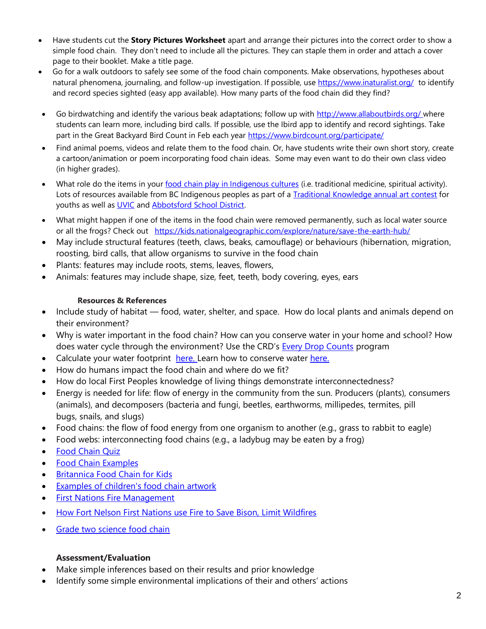- Have students cut the **Story Pictures Worksheet** apart and arrange their pictures into the correct order to show a simple food chain. They don't need to include all the pictures. They can staple them in order and attach a cover page to their booklet. Make a title page.
- Go for a walk outdoors to safely see some of the food chain components. Make observations, hypotheses about natural phenomena, journaling, and follow-up investigation. If possible, us[e https://www.inaturalist.org/](https://www.inaturalist.org/) to identify and record species sighted (easy app available). How many parts of the food chain did they find?
- Go birdwatching and identify the various beak adaptations; follow up with<http://www.allaboutbirds.org/> where students can learn more, including bird calls. If possible, use the Ibird app to identify and record sightings. Take part in the Great Backyard Bird Count in Feb each year <https://www.birdcount.org/participate/>
- Find animal poems, videos and relate them to the food chain. Or, have students write their own short story, create a cartoon/animation or poem incorporating food chain ideas. Some may even want to do their own class video (in higher grades).
- What role do the items in your [food chain play in Indigenous](http://www.landscapesmag.com/students/pdf/AHEAD%202019%20Hayley,%20Osoyoos%20Indian%20Band,%20SenPokChin%20School,%20Oliver.jpg) cultures (i.e. traditional medicine, spiritual activity). Lots of resources available from BC Indigenous peoples as part of a [Traditional Knowledge annual art contest](http://www.landscapesmag.com/common/main.cfm?ind=1&sin=1&ssi=0&sss=1) for youths as well as **UVIC** and **Abbotsford School District**.
- What might happen if one of the items in the food chain were removed permanently, such as local water source or all the frogs? Check out <https://kids.nationalgeographic.com/explore/nature/save-the-earth-hub/>
- May include structural features (teeth, claws, beaks, camouflage) or behaviours (hibernation, migration, roosting, bird calls, that allow organisms to survive in the food chain
- Plants: features may include roots, stems, leaves, flowers,
- Animals: features may include shape, size, feet, teeth, body covering, eyes, ears

## **Resources & References**

- Include study of habitat food, water, shelter, and space. How do local plants and animals depend on their environment?
- Why is water important in the food chain? How can you conserve water in your home and school? How does water cycle through the environment? Use the CRD's [Every Drop Counts](https://www.crd.bc.ca/education/school-programs/for-k12-teachers/educator-guides-resources/drinking-water/every-drop-counts) program
- Calculate your water footprint [here.](https://www.watercalculator.org/resource/water-websites-for-kids/) Learn how to conserve water [here.](https://wateruseitwisely.com/100-ways-to-conserve/)
- How do humans impact the food chain and where do we fit?
- How do local First Peoples knowledge of living things demonstrate interconnectedness?
- Energy is needed for life: flow of energy in the community from the sun. Producers (plants), consumers (animals), and decomposers (bacteria and fungi, beetles, earthworms, millipedes, termites, pill bugs, snails, and slugs)
- Food chains: the flow of food energy from one organism to another (e.g., grass to rabbit to eagle)
- Food webs: interconnecting food chains (e.g., a ladybug may be eaten by a frog)
- [Food Chain Quiz](https://www.ck12.org/book/ck-12-biology-advanced-concepts/section/18.7/)
- [Food Chain Examples](https://examples.yourdictionary.com/examples-of-food-chains.html)
- [Britannica Food Chain for Kids](https://kids.britannica.com/kids/article/food-chain/353141)
- [Examples of children's food chain artwork](https://www.google.com/search?q=Food+chain+examples+primary+students&client=firefox-b-d&tbm=isch&source=iu&ictx=1&fir=JU2VN1BPR56mqM%252CoWdmRao6-PKU6M%252C_&vet=1&usg=AI4_-kQTxLHzFdSANJy60PKPCF6QLfJG7A&sa=X&ved=2ahUKEwjVtpKwv-XuAhXKGjQIHSIMD_wQ9QF6BAgaEAE)
- [First Nations Fire Management](https://mountainculturegroup.com/how-first-nations-managed-forest-fires-bc/)
- [How Fort Nelson First Nations use Fire to Save Bison, Limit Wildfires](https://www.cbc.ca/news/indigenous/fort-nelson-first-nation-uses-fire-to-save-bison-limit-wildfires-1.3082391)
- [Grade two science food chain](https://www.ck12.org/book/ck-12-second-grade-science/section/1.0/)

## **Assessment/Evaluation**

- Make simple inferences based on their results and prior knowledge
- Identify some simple environmental implications of their and others' actions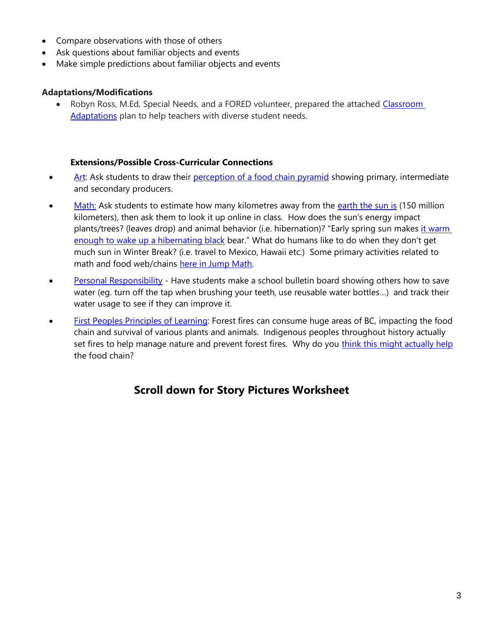- Compare observations with those of others
- Ask questions about familiar objects and events
- Make simple predictions about familiar objects and events

#### **Adaptations/Modifications**

• Robyn Ross, M.Ed, Special Needs, and a FORED volunteer, prepared the attached Classroom [Adaptations](http://foredbc.org/teachers/lessonplans/Classroom%20Adaptations%20for%20Students%20with%20Special%20Needs.pdf) plan to help teachers with diverse student needs.

#### **Extensions/Possible Cross-Curricular Connections**

- [Art:](https://www.google.com/url?sa=t&rct=j&q=&esrc=s&source=web&cd=&ved=2ahUKEwiwt9yD4eXuAhWpGDQIHcgiC-kQFjACegQIAxAC&url=https%3A%2F%2Fwww.curriculum.gov.bc.ca%2Fsites%2Fcurriculum.gov.bc.ca%2Ffiles%2Fcurriculum%2Fcontinuous-views%2Fen_arts_education_k-9_big_ideas.pdf&usg=AOvVaw0kOZ1cbyBoze7VanMqmQqK) Ask students to draw their [perception of a food chain pyramid](https://www.pinterest.ca/search/pins/?q=math%20in%20food%20chain%20kids&rs=typed&term_meta%5b%5d=math%20in%20food%20chain%20kids%7Ctyped) showing primary, intermediate and secondary producers.
- [Math:](https://curriculum.gov.bc.ca/curriculum/mathematics) Ask students to estimate how many kilometres away from the [earth the sun is](https://science.howstuffworks.com/sun.htm) (150 million kilometers), then ask them to look it up online in class. How does the sun's energy impact plants/trees? (leaves drop) and animal behavior (i.e. hibernation)? "Early spring sun makes it warm [enough to wake up a hibernating black](https://animals.howstuffworks.com/animal-facts/hibernation.htm) bear." What do humans like to do when they don't get much sun in Winter Break? (i.e. travel to Mexico, Hawaii etc.) Some primary activities related to math and food web/chains [here in Jump Math.](https://www.google.com/url?sa=t&rct=j&q=&esrc=s&source=web&cd=&ved=2ahUKEwjYpuvdnOjuAhWyHzQIHf4VC7MQFjADegQIARAC&url=http%3A%2F%2Fwww.earthrangers.org%2Fwp-content%2Fuploads%2F2016%2F08%2FJUMPEarthRangersPrimaryLessons.pdf&usg=AOvVaw2M8BqPeJAwbKybT_bxotnQ)
- [Personal Responsibility](https://curriculum.gov.bc.ca/competencies/personal-and-social/personal-awareness-and-responsibility) Have students make a school bulletin board showing others how to save water (eg. turn off the tap when brushing your teeth, use reusable water bottles…) and track their water usage to see if they can improve it.
- [First Peoples Principles of Learning:](https://curriculum.gov.bc.ca/instructional-samples/first-peoples-principles-learning) Forest fires can consume huge areas of BC, impacting the food chain and survival of various plants and animals. Indigenous peoples throughout history actually set fires to help manage nature and prevent forest fires. Why do you [think this might actually help](https://www.cbc.ca/news/indigenous/fort-nelson-first-nation-uses-fire-to-save-bison-limit-wildfires-1.3082391) the food chain?

# **Scroll down for Story Pictures Worksheet**